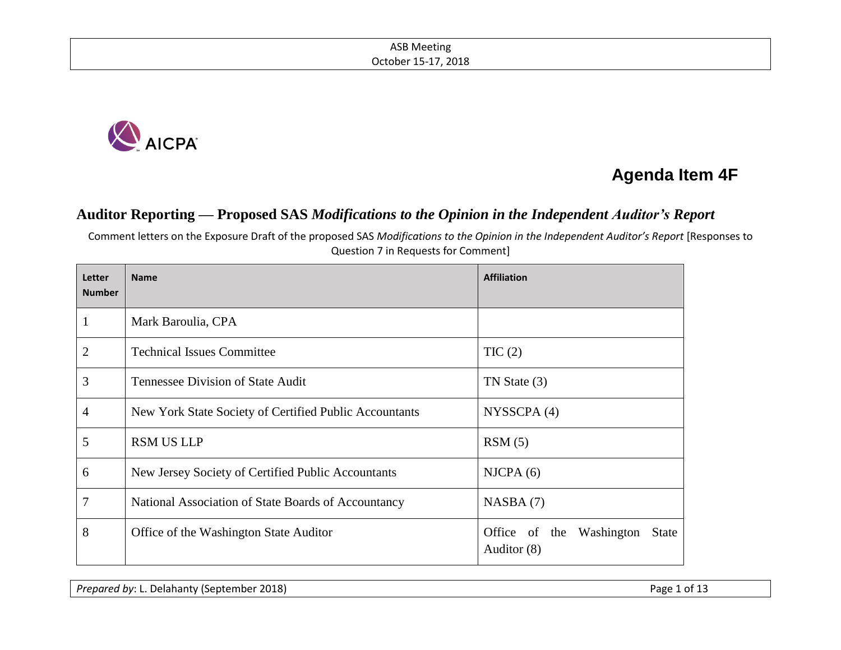

# **Agenda Item 4F**

# **Auditor Reporting — Proposed SAS** *Modifications to the Opinion in the Independent Auditor's Report*

Comment letters on the Exposure Draft of the proposed SAS *Modifications to the Opinion in the Independent Auditor's Report* [Responses to Question 7 in Requests for Comment]

| Letter<br><b>Number</b> | <b>Name</b>                                            | <b>Affiliation</b>                               |  |
|-------------------------|--------------------------------------------------------|--------------------------------------------------|--|
| 1                       | Mark Baroulia, CPA                                     |                                                  |  |
| 2                       | <b>Technical Issues Committee</b>                      | TIC(2)                                           |  |
| 3                       | <b>Tennessee Division of State Audit</b>               | TN State (3)                                     |  |
| 4                       | New York State Society of Certified Public Accountants | NYSSCPA(4)                                       |  |
| 5                       | <b>RSM US LLP</b>                                      | RSM(5)                                           |  |
| 6                       | New Jersey Society of Certified Public Accountants     | NICPA(6)                                         |  |
| 7                       | National Association of State Boards of Accountancy    | NASBA(7)                                         |  |
| 8                       | Office of the Washington State Auditor                 | Office of the Washington<br>State<br>Auditor (8) |  |

*Prepared by*: L. Delahanty (September 2018) **Prepared by: L. Delahanty (September 2018**)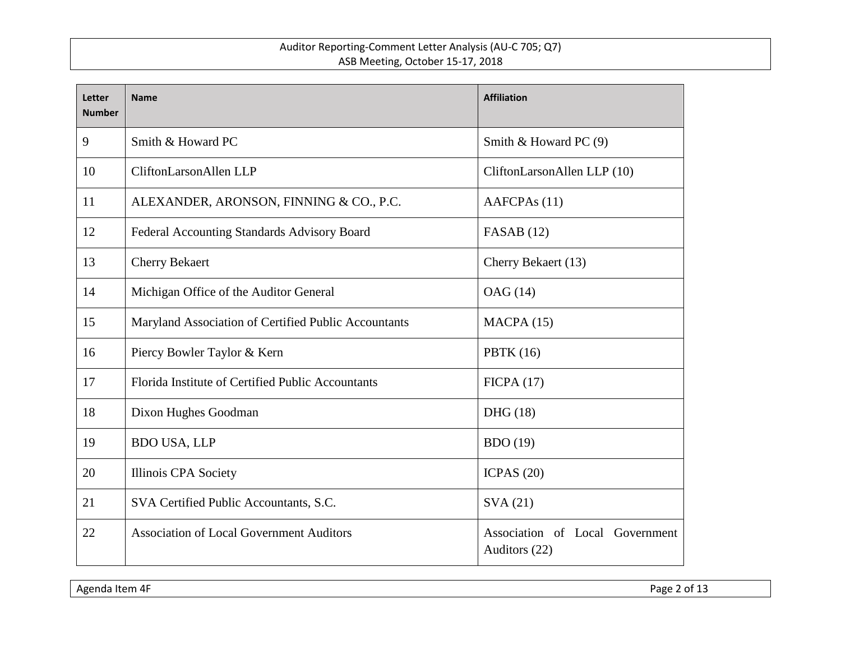| Letter<br><b>Number</b> | <b>Name</b>                                          | <b>Affiliation</b>                               |
|-------------------------|------------------------------------------------------|--------------------------------------------------|
| 9                       | Smith & Howard PC                                    | Smith & Howard PC (9)                            |
| 10                      | CliftonLarsonAllen LLP                               | CliftonLarsonAllen LLP (10)                      |
| 11                      | ALEXANDER, ARONSON, FINNING & CO., P.C.              | AAFCPA <sub>s</sub> (11)                         |
| 12                      | Federal Accounting Standards Advisory Board          | FASAB $(12)$                                     |
| 13                      | <b>Cherry Bekaert</b>                                | Cherry Bekaert (13)                              |
| 14                      | Michigan Office of the Auditor General               | OAG (14)                                         |
| 15                      | Maryland Association of Certified Public Accountants | MACPA(15)                                        |
| 16                      | Piercy Bowler Taylor & Kern                          | <b>PBTK</b> (16)                                 |
| 17                      | Florida Institute of Certified Public Accountants    | FICPA(17)                                        |
| 18                      | Dixon Hughes Goodman                                 | DHG (18)                                         |
| 19                      | <b>BDO USA, LLP</b>                                  | BDO(19)                                          |
| 20                      | Illinois CPA Society                                 | ICPAS $(20)$                                     |
| 21                      | SVA Certified Public Accountants, S.C.               | SVA(21)                                          |
| 22                      | <b>Association of Local Government Auditors</b>      | Association of Local Government<br>Auditors (22) |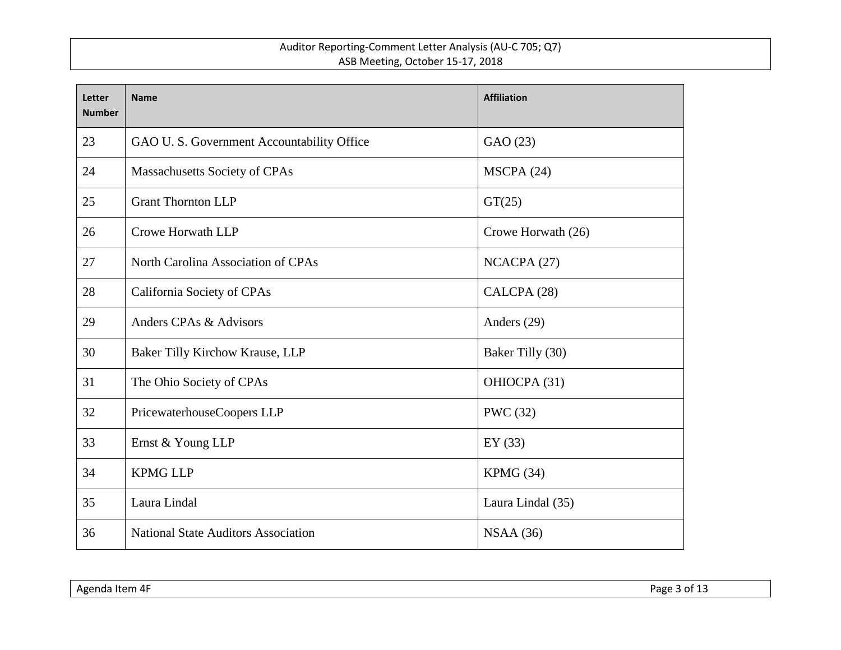| Letter<br><b>Number</b> | <b>Name</b>                                | <b>Affiliation</b> |
|-------------------------|--------------------------------------------|--------------------|
| 23                      | GAO U. S. Government Accountability Office | GAO (23)           |
| 24                      | Massachusetts Society of CPAs              | MSCPA (24)         |
| 25                      | <b>Grant Thornton LLP</b>                  | GT(25)             |
| 26                      | Crowe Horwath LLP                          | Crowe Horwath (26) |
| 27                      | North Carolina Association of CPAs         | NCACPA (27)        |
| 28                      | California Society of CPAs                 | CALCPA (28)        |
| 29                      | Anders CPAs & Advisors                     | Anders (29)        |
| 30                      | Baker Tilly Kirchow Krause, LLP            | Baker Tilly (30)   |
| 31                      | The Ohio Society of CPAs                   | OHIOCPA (31)       |
| 32                      | PricewaterhouseCoopers LLP                 | <b>PWC</b> (32)    |
| 33                      | Ernst & Young LLP                          | EY $(33)$          |
| 34                      | <b>KPMG LLP</b>                            | KPMG (34)          |
| 35                      | Laura Lindal                               | Laura Lindal (35)  |
| 36                      | <b>National State Auditors Association</b> | NSAA(36)           |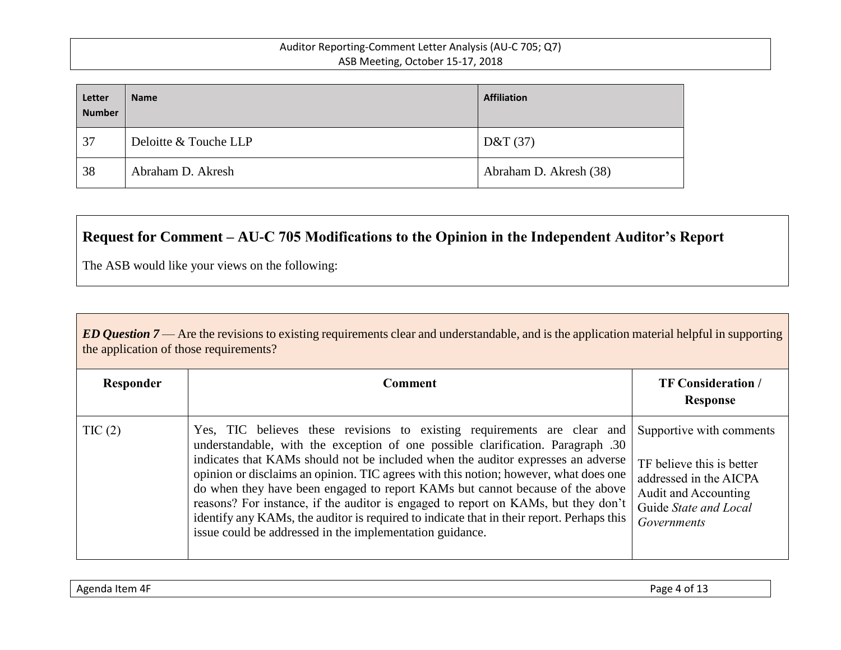| Letter<br><b>Number</b> | <b>Name</b>           | <b>Affiliation</b>     |
|-------------------------|-----------------------|------------------------|
| 37                      | Deloitte & Touche LLP | D&T(37)                |
| 38                      | Abraham D. Akresh     | Abraham D. Akresh (38) |

# **Request for Comment – AU-C 705 Modifications to the Opinion in the Independent Auditor's Report**

The ASB would like your views on the following:

| ED Question $7$ — Are the revisions to existing requirements clear and understandable, and is the application material helpful in supporting |  |
|----------------------------------------------------------------------------------------------------------------------------------------------|--|
| the application of those requirements?                                                                                                       |  |

| Responder | Comment                                                                                                                                                                                                                                                                                                                                                                                                                                                                                                                                                                                                                                                                 | <b>TF Consideration /</b><br>Response                                                                                                           |
|-----------|-------------------------------------------------------------------------------------------------------------------------------------------------------------------------------------------------------------------------------------------------------------------------------------------------------------------------------------------------------------------------------------------------------------------------------------------------------------------------------------------------------------------------------------------------------------------------------------------------------------------------------------------------------------------------|-------------------------------------------------------------------------------------------------------------------------------------------------|
| TIC(2)    | Yes, TIC believes these revisions to existing requirements are clear and<br>understandable, with the exception of one possible clarification. Paragraph .30<br>indicates that KAMs should not be included when the auditor expresses an adverse<br>opinion or disclaims an opinion. TIC agrees with this notion; however, what does one<br>do when they have been engaged to report KAMs but cannot because of the above<br>reasons? For instance, if the auditor is engaged to report on KAMs, but they don't<br>identify any KAMs, the auditor is required to indicate that in their report. Perhaps this<br>issue could be addressed in the implementation guidance. | Supportive with comments<br>TF believe this is better<br>addressed in the AICPA<br>Audit and Accounting<br>Guide State and Local<br>Governments |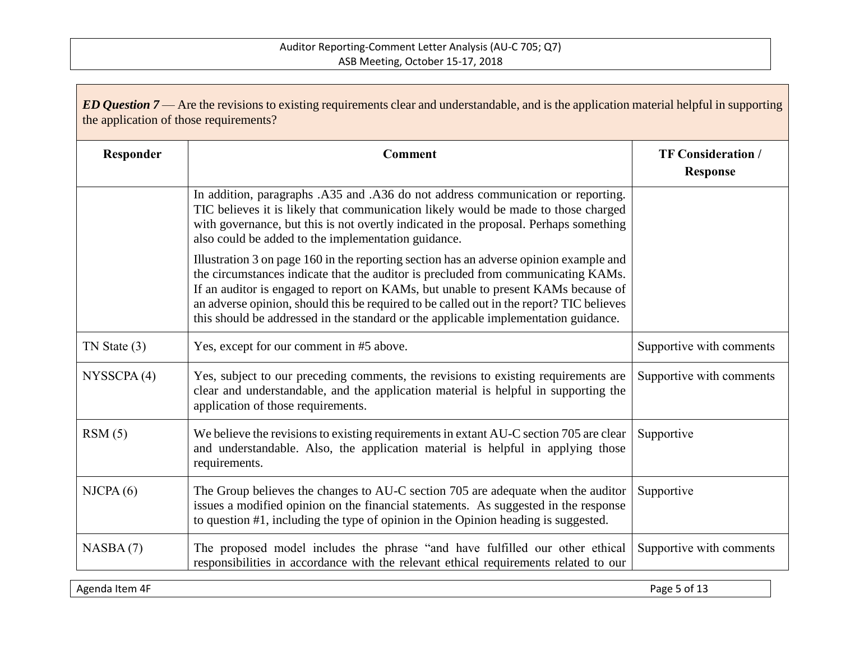| ED Question 7— Are the revisions to existing requirements clear and understandable, and is the application material helpful in supporting<br>the application of those requirements? |                                                                                                                                                                                                                                                                                                                                                                                                                                                     |                                              |
|-------------------------------------------------------------------------------------------------------------------------------------------------------------------------------------|-----------------------------------------------------------------------------------------------------------------------------------------------------------------------------------------------------------------------------------------------------------------------------------------------------------------------------------------------------------------------------------------------------------------------------------------------------|----------------------------------------------|
| Responder                                                                                                                                                                           | <b>Comment</b>                                                                                                                                                                                                                                                                                                                                                                                                                                      | <b>TF Consideration /</b><br><b>Response</b> |
|                                                                                                                                                                                     | In addition, paragraphs .A35 and .A36 do not address communication or reporting.<br>TIC believes it is likely that communication likely would be made to those charged<br>with governance, but this is not overtly indicated in the proposal. Perhaps something<br>also could be added to the implementation guidance.                                                                                                                              |                                              |
|                                                                                                                                                                                     | Illustration 3 on page 160 in the reporting section has an adverse opinion example and<br>the circumstances indicate that the auditor is precluded from communicating KAMs.<br>If an auditor is engaged to report on KAMs, but unable to present KAMs because of<br>an adverse opinion, should this be required to be called out in the report? TIC believes<br>this should be addressed in the standard or the applicable implementation guidance. |                                              |
| $TN$ State $(3)$                                                                                                                                                                    | Yes, except for our comment in #5 above.                                                                                                                                                                                                                                                                                                                                                                                                            | Supportive with comments                     |
| NYSSCPA(4)                                                                                                                                                                          | Yes, subject to our preceding comments, the revisions to existing requirements are<br>clear and understandable, and the application material is helpful in supporting the<br>application of those requirements.                                                                                                                                                                                                                                     | Supportive with comments                     |
| RSM(5)                                                                                                                                                                              | We believe the revisions to existing requirements in extant AU-C section 705 are clear<br>and understandable. Also, the application material is helpful in applying those<br>requirements.                                                                                                                                                                                                                                                          | Supportive                                   |
| NICPA(6)                                                                                                                                                                            | The Group believes the changes to AU-C section 705 are adequate when the auditor<br>issues a modified opinion on the financial statements. As suggested in the response<br>to question #1, including the type of opinion in the Opinion heading is suggested.                                                                                                                                                                                       | Supportive                                   |
| NASBA(7)                                                                                                                                                                            | The proposed model includes the phrase "and have fulfilled our other ethical<br>responsibilities in accordance with the relevant ethical requirements related to our                                                                                                                                                                                                                                                                                | Supportive with comments                     |

Agenda Item 4F Page 5 of 13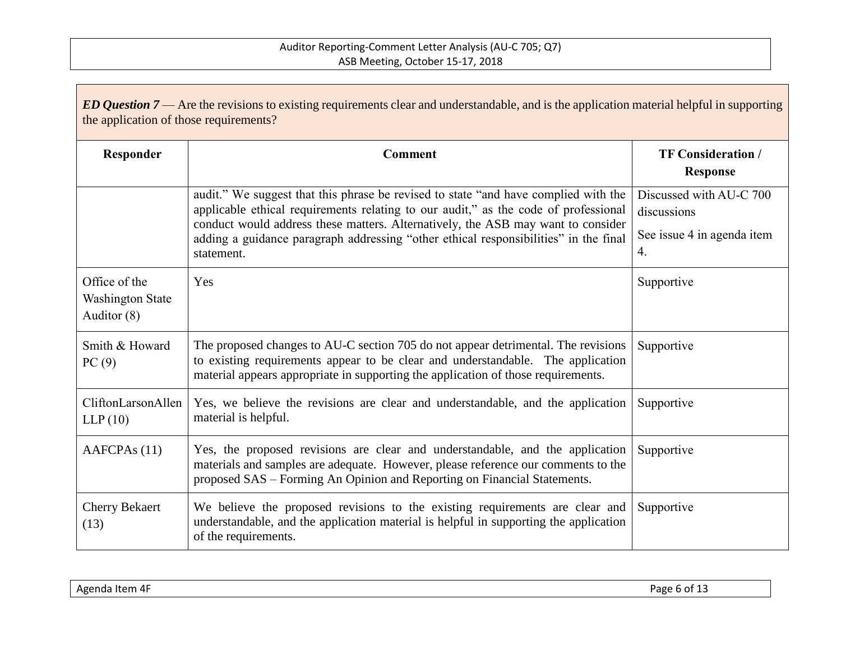| ED Question $7$ — Are the revisions to existing requirements clear and understandable, and is the application material helpful in supporting<br>the application of those requirements? |                                                                                                                                                                                                                                                                                                                                                                      |                                                                            |  |
|----------------------------------------------------------------------------------------------------------------------------------------------------------------------------------------|----------------------------------------------------------------------------------------------------------------------------------------------------------------------------------------------------------------------------------------------------------------------------------------------------------------------------------------------------------------------|----------------------------------------------------------------------------|--|
| Responder                                                                                                                                                                              | <b>Comment</b>                                                                                                                                                                                                                                                                                                                                                       | <b>TF Consideration /</b><br><b>Response</b>                               |  |
|                                                                                                                                                                                        | audit." We suggest that this phrase be revised to state "and have complied with the<br>applicable ethical requirements relating to our audit," as the code of professional<br>conduct would address these matters. Alternatively, the ASB may want to consider<br>adding a guidance paragraph addressing "other ethical responsibilities" in the final<br>statement. | Discussed with AU-C 700<br>discussions<br>See issue 4 in agenda item<br>4. |  |
| Office of the<br><b>Washington State</b><br>Auditor (8)                                                                                                                                | Yes                                                                                                                                                                                                                                                                                                                                                                  | Supportive                                                                 |  |
| Smith & Howard<br>PC(9)                                                                                                                                                                | The proposed changes to AU-C section 705 do not appear detrimental. The revisions<br>to existing requirements appear to be clear and understandable. The application<br>material appears appropriate in supporting the application of those requirements.                                                                                                            | Supportive                                                                 |  |
| CliftonLarsonAllen<br>LLP(10)                                                                                                                                                          | Yes, we believe the revisions are clear and understandable, and the application<br>material is helpful.                                                                                                                                                                                                                                                              | Supportive                                                                 |  |
| AAFCPAs (11)                                                                                                                                                                           | Yes, the proposed revisions are clear and understandable, and the application<br>materials and samples are adequate. However, please reference our comments to the<br>proposed SAS – Forming An Opinion and Reporting on Financial Statements.                                                                                                                       | Supportive                                                                 |  |
| <b>Cherry Bekaert</b><br>(13)                                                                                                                                                          | We believe the proposed revisions to the existing requirements are clear and<br>understandable, and the application material is helpful in supporting the application<br>of the requirements.                                                                                                                                                                        | Supportive                                                                 |  |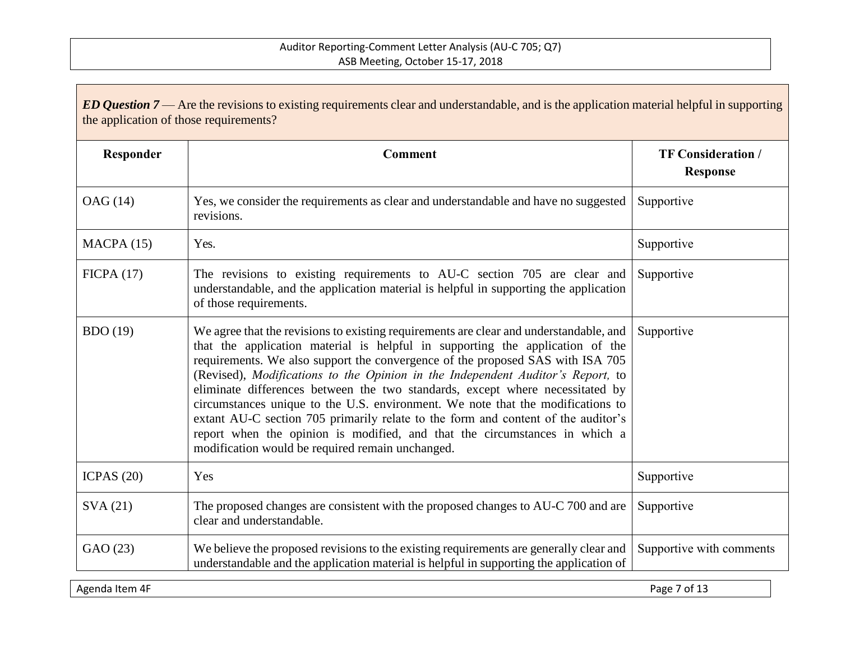| ED Question $7$ — Are the revisions to existing requirements clear and understandable, and is the application material helpful in supporting<br>the application of those requirements? |                                                                                                                                                                                                                                                                                                                                                                                                                                                                                                                                                                                                                                                                                                                                         |                                              |
|----------------------------------------------------------------------------------------------------------------------------------------------------------------------------------------|-----------------------------------------------------------------------------------------------------------------------------------------------------------------------------------------------------------------------------------------------------------------------------------------------------------------------------------------------------------------------------------------------------------------------------------------------------------------------------------------------------------------------------------------------------------------------------------------------------------------------------------------------------------------------------------------------------------------------------------------|----------------------------------------------|
| Responder                                                                                                                                                                              | <b>Comment</b>                                                                                                                                                                                                                                                                                                                                                                                                                                                                                                                                                                                                                                                                                                                          | <b>TF Consideration /</b><br><b>Response</b> |
| OAG (14)                                                                                                                                                                               | Yes, we consider the requirements as clear and understandable and have no suggested<br>revisions.                                                                                                                                                                                                                                                                                                                                                                                                                                                                                                                                                                                                                                       | Supportive                                   |
| MACPA(15)                                                                                                                                                                              | Yes.                                                                                                                                                                                                                                                                                                                                                                                                                                                                                                                                                                                                                                                                                                                                    | Supportive                                   |
| FICPA(17)                                                                                                                                                                              | The revisions to existing requirements to AU-C section 705 are clear and<br>understandable, and the application material is helpful in supporting the application<br>of those requirements.                                                                                                                                                                                                                                                                                                                                                                                                                                                                                                                                             | Supportive                                   |
| <b>BDO</b> (19)                                                                                                                                                                        | We agree that the revisions to existing requirements are clear and understandable, and<br>that the application material is helpful in supporting the application of the<br>requirements. We also support the convergence of the proposed SAS with ISA 705<br>(Revised), Modifications to the Opinion in the Independent Auditor's Report, to<br>eliminate differences between the two standards, except where necessitated by<br>circumstances unique to the U.S. environment. We note that the modifications to<br>extant AU-C section 705 primarily relate to the form and content of the auditor's<br>report when the opinion is modified, and that the circumstances in which a<br>modification would be required remain unchanged. | Supportive                                   |
| ICPAS $(20)$                                                                                                                                                                           | Yes                                                                                                                                                                                                                                                                                                                                                                                                                                                                                                                                                                                                                                                                                                                                     | Supportive                                   |
| SVA(21)                                                                                                                                                                                | The proposed changes are consistent with the proposed changes to AU-C 700 and are<br>clear and understandable.                                                                                                                                                                                                                                                                                                                                                                                                                                                                                                                                                                                                                          | Supportive                                   |
| GAO (23)                                                                                                                                                                               | We believe the proposed revisions to the existing requirements are generally clear and<br>understandable and the application material is helpful in supporting the application of                                                                                                                                                                                                                                                                                                                                                                                                                                                                                                                                                       | Supportive with comments                     |

Agenda Item 4F Page 7 of 13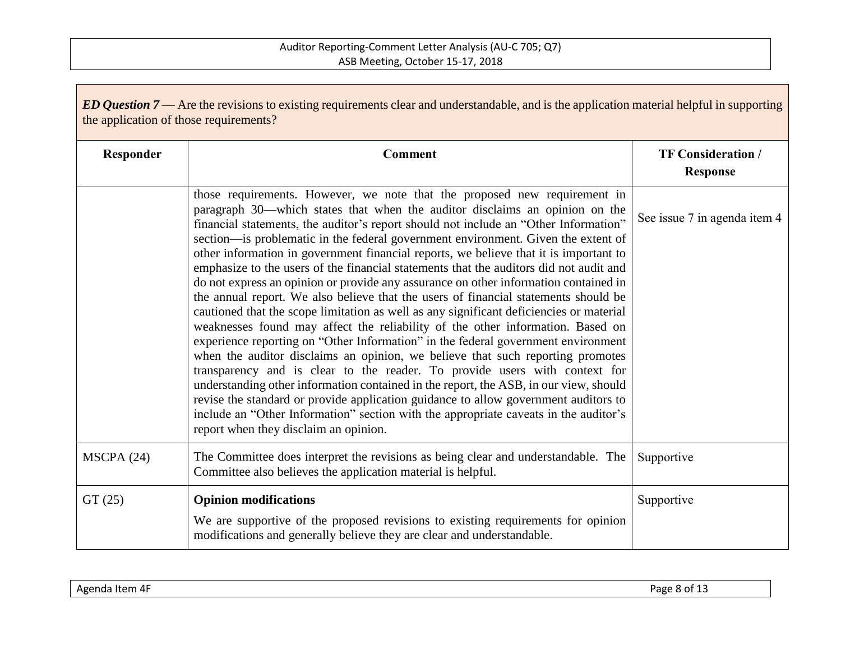| ED Question $7$ — Are the revisions to existing requirements clear and understandable, and is the application material helpful in supporting<br>the application of those requirements? |                                                                                                                                                                                                                                                                                                                                                                                                                                                                                                                                                                                                                                                                                                                                                                                                                                                                                                                                                                                                                                                                                                                                                                                                                                                                                                                                                                                                                                                            |                                              |
|----------------------------------------------------------------------------------------------------------------------------------------------------------------------------------------|------------------------------------------------------------------------------------------------------------------------------------------------------------------------------------------------------------------------------------------------------------------------------------------------------------------------------------------------------------------------------------------------------------------------------------------------------------------------------------------------------------------------------------------------------------------------------------------------------------------------------------------------------------------------------------------------------------------------------------------------------------------------------------------------------------------------------------------------------------------------------------------------------------------------------------------------------------------------------------------------------------------------------------------------------------------------------------------------------------------------------------------------------------------------------------------------------------------------------------------------------------------------------------------------------------------------------------------------------------------------------------------------------------------------------------------------------------|----------------------------------------------|
| Responder                                                                                                                                                                              | <b>Comment</b>                                                                                                                                                                                                                                                                                                                                                                                                                                                                                                                                                                                                                                                                                                                                                                                                                                                                                                                                                                                                                                                                                                                                                                                                                                                                                                                                                                                                                                             | <b>TF Consideration /</b><br><b>Response</b> |
|                                                                                                                                                                                        | those requirements. However, we note that the proposed new requirement in<br>paragraph 30—which states that when the auditor disclaims an opinion on the<br>financial statements, the auditor's report should not include an "Other Information"<br>section—is problematic in the federal government environment. Given the extent of<br>other information in government financial reports, we believe that it is important to<br>emphasize to the users of the financial statements that the auditors did not audit and<br>do not express an opinion or provide any assurance on other information contained in<br>the annual report. We also believe that the users of financial statements should be<br>cautioned that the scope limitation as well as any significant deficiencies or material<br>weaknesses found may affect the reliability of the other information. Based on<br>experience reporting on "Other Information" in the federal government environment<br>when the auditor disclaims an opinion, we believe that such reporting promotes<br>transparency and is clear to the reader. To provide users with context for<br>understanding other information contained in the report, the ASB, in our view, should<br>revise the standard or provide application guidance to allow government auditors to<br>include an "Other Information" section with the appropriate caveats in the auditor's<br>report when they disclaim an opinion. | See issue 7 in agenda item 4                 |
| MSCPA(24)                                                                                                                                                                              | The Committee does interpret the revisions as being clear and understandable. The<br>Committee also believes the application material is helpful.                                                                                                                                                                                                                                                                                                                                                                                                                                                                                                                                                                                                                                                                                                                                                                                                                                                                                                                                                                                                                                                                                                                                                                                                                                                                                                          | Supportive                                   |
| GT(25)                                                                                                                                                                                 | <b>Opinion modifications</b><br>We are supportive of the proposed revisions to existing requirements for opinion<br>modifications and generally believe they are clear and understandable.                                                                                                                                                                                                                                                                                                                                                                                                                                                                                                                                                                                                                                                                                                                                                                                                                                                                                                                                                                                                                                                                                                                                                                                                                                                                 | Supportive                                   |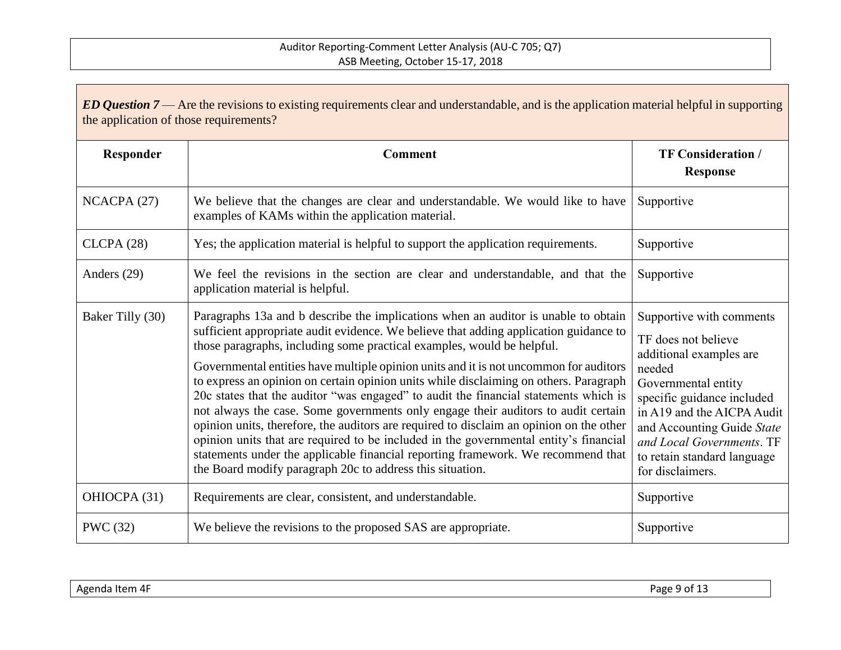| ED Question $7$ — Are the revisions to existing requirements clear and understandable, and is the application material helpful in supporting<br>the application of those requirements? |                                                                                                                                                                                                                                                                                                                                                                                                                                                                                                                                                                                                                                                                                                                                                                                                                                                                                                                                                           |                                                                                                                                                                                                                                                                                       |  |
|----------------------------------------------------------------------------------------------------------------------------------------------------------------------------------------|-----------------------------------------------------------------------------------------------------------------------------------------------------------------------------------------------------------------------------------------------------------------------------------------------------------------------------------------------------------------------------------------------------------------------------------------------------------------------------------------------------------------------------------------------------------------------------------------------------------------------------------------------------------------------------------------------------------------------------------------------------------------------------------------------------------------------------------------------------------------------------------------------------------------------------------------------------------|---------------------------------------------------------------------------------------------------------------------------------------------------------------------------------------------------------------------------------------------------------------------------------------|--|
| Responder                                                                                                                                                                              | <b>Comment</b>                                                                                                                                                                                                                                                                                                                                                                                                                                                                                                                                                                                                                                                                                                                                                                                                                                                                                                                                            | <b>TF Consideration /</b><br><b>Response</b>                                                                                                                                                                                                                                          |  |
| NCACPA (27)                                                                                                                                                                            | We believe that the changes are clear and understandable. We would like to have<br>examples of KAMs within the application material.                                                                                                                                                                                                                                                                                                                                                                                                                                                                                                                                                                                                                                                                                                                                                                                                                      | Supportive                                                                                                                                                                                                                                                                            |  |
| CLCPA(28)                                                                                                                                                                              | Yes; the application material is helpful to support the application requirements.                                                                                                                                                                                                                                                                                                                                                                                                                                                                                                                                                                                                                                                                                                                                                                                                                                                                         | Supportive                                                                                                                                                                                                                                                                            |  |
| Anders (29)                                                                                                                                                                            | We feel the revisions in the section are clear and understandable, and that the<br>application material is helpful.                                                                                                                                                                                                                                                                                                                                                                                                                                                                                                                                                                                                                                                                                                                                                                                                                                       | Supportive                                                                                                                                                                                                                                                                            |  |
| Baker Tilly (30)                                                                                                                                                                       | Paragraphs 13a and b describe the implications when an auditor is unable to obtain<br>sufficient appropriate audit evidence. We believe that adding application guidance to<br>those paragraphs, including some practical examples, would be helpful.<br>Governmental entities have multiple opinion units and it is not uncommon for auditors<br>to express an opinion on certain opinion units while disclaiming on others. Paragraph<br>20c states that the auditor "was engaged" to audit the financial statements which is<br>not always the case. Some governments only engage their auditors to audit certain<br>opinion units, therefore, the auditors are required to disclaim an opinion on the other<br>opinion units that are required to be included in the governmental entity's financial<br>statements under the applicable financial reporting framework. We recommend that<br>the Board modify paragraph 20c to address this situation. | Supportive with comments<br>TF does not believe<br>additional examples are<br>needed<br>Governmental entity<br>specific guidance included<br>in A19 and the AICPA Audit<br>and Accounting Guide State<br>and Local Governments. TF<br>to retain standard language<br>for disclaimers. |  |
| OHIOCPA (31)                                                                                                                                                                           | Requirements are clear, consistent, and understandable.                                                                                                                                                                                                                                                                                                                                                                                                                                                                                                                                                                                                                                                                                                                                                                                                                                                                                                   | Supportive                                                                                                                                                                                                                                                                            |  |
| <b>PWC</b> (32)                                                                                                                                                                        | We believe the revisions to the proposed SAS are appropriate.                                                                                                                                                                                                                                                                                                                                                                                                                                                                                                                                                                                                                                                                                                                                                                                                                                                                                             | Supportive                                                                                                                                                                                                                                                                            |  |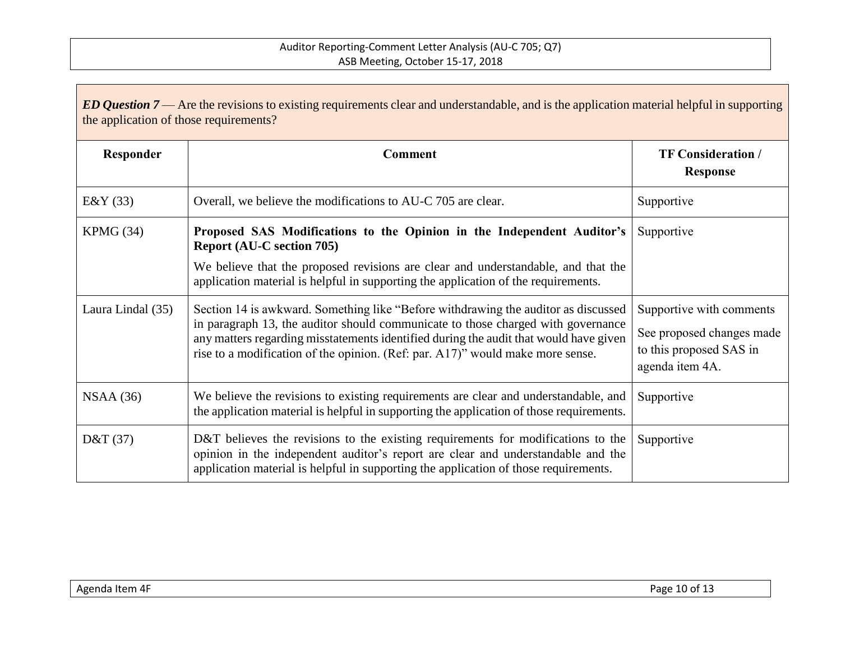| ED Question $7$ — Are the revisions to existing requirements clear and understandable, and is the application material helpful in supporting<br>the application of those requirements? |                                                                                                                                                                                                                                                                                                                                                   |                                                                                                     |
|----------------------------------------------------------------------------------------------------------------------------------------------------------------------------------------|---------------------------------------------------------------------------------------------------------------------------------------------------------------------------------------------------------------------------------------------------------------------------------------------------------------------------------------------------|-----------------------------------------------------------------------------------------------------|
| Responder                                                                                                                                                                              | <b>Comment</b>                                                                                                                                                                                                                                                                                                                                    | <b>TF Consideration /</b><br><b>Response</b>                                                        |
| E&Y(33)                                                                                                                                                                                | Overall, we believe the modifications to AU-C 705 are clear.                                                                                                                                                                                                                                                                                      | Supportive                                                                                          |
| KPMG (34)                                                                                                                                                                              | Proposed SAS Modifications to the Opinion in the Independent Auditor's<br><b>Report (AU-C section 705)</b>                                                                                                                                                                                                                                        | Supportive                                                                                          |
|                                                                                                                                                                                        | We believe that the proposed revisions are clear and understandable, and that the<br>application material is helpful in supporting the application of the requirements.                                                                                                                                                                           |                                                                                                     |
| Laura Lindal (35)                                                                                                                                                                      | Section 14 is awkward. Something like "Before withdrawing the auditor as discussed<br>in paragraph 13, the auditor should communicate to those charged with governance<br>any matters regarding misstatements identified during the audit that would have given<br>rise to a modification of the opinion. (Ref: par. A17)" would make more sense. | Supportive with comments<br>See proposed changes made<br>to this proposed SAS in<br>agenda item 4A. |
| NSAA(36)                                                                                                                                                                               | We believe the revisions to existing requirements are clear and understandable, and<br>the application material is helpful in supporting the application of those requirements.                                                                                                                                                                   | Supportive                                                                                          |
| D&T $(37)$                                                                                                                                                                             | D&T believes the revisions to the existing requirements for modifications to the<br>opinion in the independent auditor's report are clear and understandable and the<br>application material is helpful in supporting the application of those requirements.                                                                                      | Supportive                                                                                          |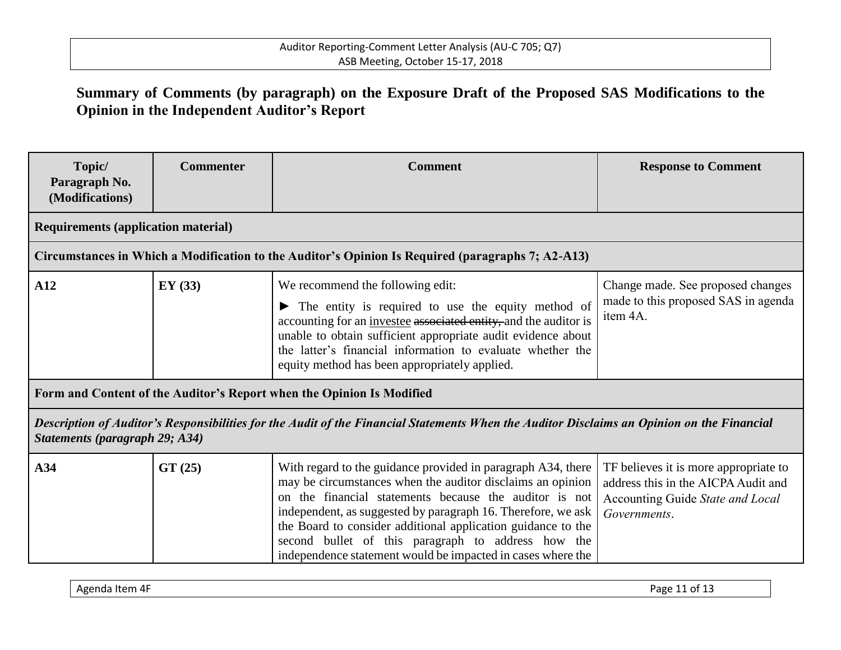# **Summary of Comments (by paragraph) on the Exposure Draft of the Proposed SAS Modifications to the Opinion in the Independent Auditor's Report**

| Topic/<br>Paragraph No.<br>(Modifications)                                                                                                                                   | <b>Commenter</b> | <b>Comment</b>                                                                                                                                                                                                                                                                                                                                                                                                                            | <b>Response to Comment</b>                                                                                                       |  |  |  |  |
|------------------------------------------------------------------------------------------------------------------------------------------------------------------------------|------------------|-------------------------------------------------------------------------------------------------------------------------------------------------------------------------------------------------------------------------------------------------------------------------------------------------------------------------------------------------------------------------------------------------------------------------------------------|----------------------------------------------------------------------------------------------------------------------------------|--|--|--|--|
| <b>Requirements (application material)</b>                                                                                                                                   |                  |                                                                                                                                                                                                                                                                                                                                                                                                                                           |                                                                                                                                  |  |  |  |  |
| Circumstances in Which a Modification to the Auditor's Opinion Is Required (paragraphs 7; A2-A13)                                                                            |                  |                                                                                                                                                                                                                                                                                                                                                                                                                                           |                                                                                                                                  |  |  |  |  |
| A12                                                                                                                                                                          | EY(33)           | We recommend the following edit:<br>The entity is required to use the equity method of<br>accounting for an <i>investee</i> associated entity, and the auditor is<br>unable to obtain sufficient appropriate audit evidence about<br>the latter's financial information to evaluate whether the<br>equity method has been appropriately applied.                                                                                          | Change made. See proposed changes<br>made to this proposed SAS in agenda<br>item 4A.                                             |  |  |  |  |
| Form and Content of the Auditor's Report when the Opinion Is Modified                                                                                                        |                  |                                                                                                                                                                                                                                                                                                                                                                                                                                           |                                                                                                                                  |  |  |  |  |
| Description of Auditor's Responsibilities for the Audit of the Financial Statements When the Auditor Disclaims an Opinion on the Financial<br>Statements (paragraph 29; A34) |                  |                                                                                                                                                                                                                                                                                                                                                                                                                                           |                                                                                                                                  |  |  |  |  |
| A34                                                                                                                                                                          | GT(25)           | With regard to the guidance provided in paragraph A34, there<br>may be circumstances when the auditor disclaims an opinion<br>on the financial statements because the auditor is not<br>independent, as suggested by paragraph 16. Therefore, we ask<br>the Board to consider additional application guidance to the<br>second bullet of this paragraph to address how the<br>independence statement would be impacted in cases where the | TF believes it is more appropriate to<br>address this in the AICPA Audit and<br>Accounting Guide State and Local<br>Governments. |  |  |  |  |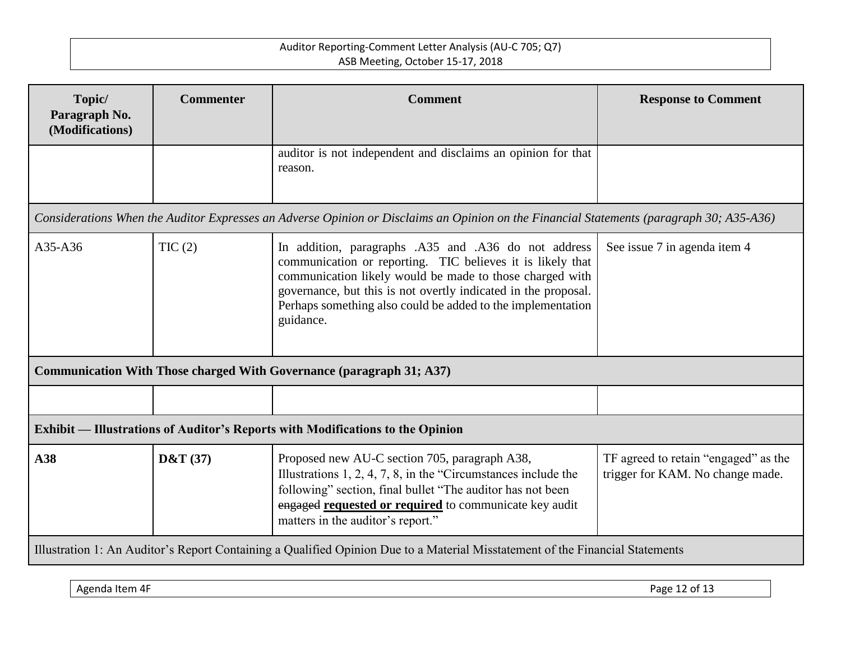| Topic/<br>Paragraph No.                                                                                                                  | <b>Commenter</b> | <b>Comment</b>                                                                                                                                                                                                                                                                                                               | <b>Response to Comment</b>                                               |  |  |  |
|------------------------------------------------------------------------------------------------------------------------------------------|------------------|------------------------------------------------------------------------------------------------------------------------------------------------------------------------------------------------------------------------------------------------------------------------------------------------------------------------------|--------------------------------------------------------------------------|--|--|--|
| (Modifications)                                                                                                                          |                  |                                                                                                                                                                                                                                                                                                                              |                                                                          |  |  |  |
|                                                                                                                                          |                  | auditor is not independent and disclaims an opinion for that<br>reason.                                                                                                                                                                                                                                                      |                                                                          |  |  |  |
| Considerations When the Auditor Expresses an Adverse Opinion or Disclaims an Opinion on the Financial Statements (paragraph 30; A35-A36) |                  |                                                                                                                                                                                                                                                                                                                              |                                                                          |  |  |  |
| $A35-A36$                                                                                                                                | TIC(2)           | In addition, paragraphs .A35 and .A36 do not address<br>communication or reporting. TIC believes it is likely that<br>communication likely would be made to those charged with<br>governance, but this is not overtly indicated in the proposal.<br>Perhaps something also could be added to the implementation<br>guidance. | See issue 7 in agenda item 4                                             |  |  |  |
| Communication With Those charged With Governance (paragraph 31; A37)                                                                     |                  |                                                                                                                                                                                                                                                                                                                              |                                                                          |  |  |  |
|                                                                                                                                          |                  |                                                                                                                                                                                                                                                                                                                              |                                                                          |  |  |  |
| <b>Exhibit — Illustrations of Auditor's Reports with Modifications to the Opinion</b>                                                    |                  |                                                                                                                                                                                                                                                                                                                              |                                                                          |  |  |  |
| A38                                                                                                                                      | D&T(37)          | Proposed new AU-C section 705, paragraph A38,<br>Illustrations $1, 2, 4, 7, 8$ , in the "Circumstances include the<br>following" section, final bullet "The auditor has not been<br>engaged requested or required to communicate key audit<br>matters in the auditor's report."                                              | TF agreed to retain "engaged" as the<br>trigger for KAM. No change made. |  |  |  |
| Illustration 1: An Auditor's Report Containing a Qualified Opinion Due to a Material Misstatement of the Financial Statements            |                  |                                                                                                                                                                                                                                                                                                                              |                                                                          |  |  |  |